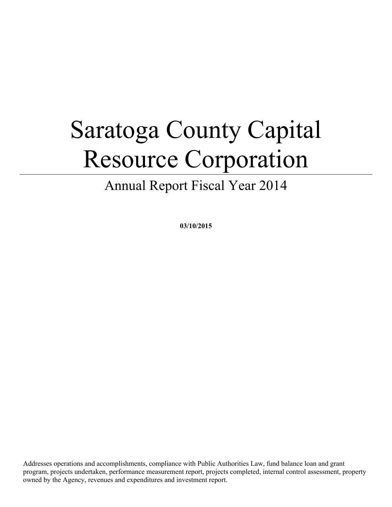# Saratoga County Capital Resource Corporation

Annual Report Fiscal Year 2014

**03/10/2015**

Addresses operations and accomplishments, compliance with Public Authorities Law, fund balance loan and grant program, projects undertaken, performance measurement report, projects completed, internal control assessment, property owned by the Agency, revenues and expenditures and investment report.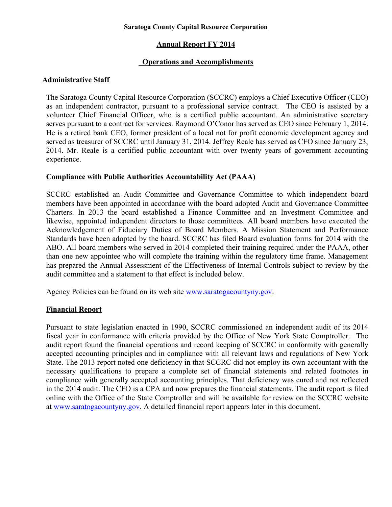#### **Saratoga County Capital Resource Corporation**

# **Annual Report FY 2014**

## **Operations and Accomplishments**

#### **Administrative Staff**

The Saratoga County Capital Resource Corporation (SCCRC) employs a Chief Executive Officer (CEO) as an independent contractor, pursuant to a professional service contract. The CEO is assisted by a volunteer Chief Financial Officer, who is a certified public accountant. An administrative secretary serves pursuant to a contract for services. Raymond O'Conor has served as CEO since February 1, 2014. He is a retired bank CEO, former president of a local not for profit economic development agency and served as treasurer of SCCRC until January 31, 2014. Jeffrey Reale has served as CFO since January 23, 2014. Mr. Reale is a certified public accountant with over twenty years of government accounting experience.

## **Compliance with Public Authorities Accountability Act (PAAA)**

SCCRC established an Audit Committee and Governance Committee to which independent board members have been appointed in accordance with the board adopted Audit and Governance Committee Charters. In 2013 the board established a Finance Committee and an Investment Committee and likewise, appointed independent directors to those committees. All board members have executed the Acknowledgement of Fiduciary Duties of Board Members. A Mission Statement and Performance Standards have been adopted by the board. SCCRC has filed Board evaluation forms for 2014 with the ABO. All board members who served in 2014 completed their training required under the PAAA, other than one new appointee who will complete the training within the regulatory time frame. Management has prepared the Annual Assessment of the Effectiveness of Internal Controls subject to review by the audit committee and a statement to that effect is included below.

Agency Policies can be found on its web site <u>www.saratogacountyny.gov</u>.

#### **Financial Report**

Pursuant to state legislation enacted in 1990, SCCRC commissioned an independent audit of its 2014 fiscal year in conformance with criteria provided by the Office of New York State Comptroller. The audit report found the financial operations and record keeping of SCCRC in conformity with generally accepted accounting principles and in compliance with all relevant laws and regulations of New York State. The 2013 report noted one deficiency in that SCCRC did not employ its own accountant with the necessary qualifications to prepare a complete set of financial statements and related footnotes in compliance with generally accepted accounting principles. That deficiency was cured and not reflected in the 2014 audit. The CFO is a CPA and now prepares the financial statements. The audit report is filed online with the Office of the State Comptroller and will be available for review on the SCCRC website at [www.saratogacountyny.gov.](http://www.saratogacountyny.gov/) A detailed financial report appears later in this document.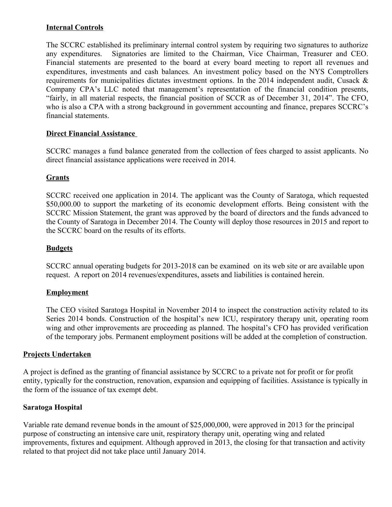## **Internal Controls**

The SCCRC established its preliminary internal control system by requiring two signatures to authorize any expenditures. Signatories are limited to the Chairman, Vice Chairman, Treasurer and CEO. Financial statements are presented to the board at every board meeting to report all revenues and expenditures, investments and cash balances. An investment policy based on the NYS Comptrollers requirements for municipalities dictates investment options. In the 2014 independent audit, Cusack & Company CPA's LLC noted that management's representation of the financial condition presents, "fairly, in all material respects, the financial position of SCCR as of December 31, 2014". The CFO, who is also a CPA with a strong background in government accounting and finance, prepares SCCRC's financial statements.

## **Direct Financial Assistance**

SCCRC manages a fund balance generated from the collection of fees charged to assist applicants. No direct financial assistance applications were received in 2014.

## **Grants**

SCCRC received one application in 2014. The applicant was the County of Saratoga, which requested \$50,000.00 to support the marketing of its economic development efforts. Being consistent with the SCCRC Mission Statement, the grant was approved by the board of directors and the funds advanced to the County of Saratoga in December 2014. The County will deploy those resources in 2015 and report to the SCCRC board on the results of its efforts.

## **Budgets**

SCCRC annual operating budgets for 2013-2018 can be examined on its web site or are available upon request. A report on 2014 revenues/expenditures, assets and liabilities is contained herein.

#### **Employment**

The CEO visited Saratoga Hospital in November 2014 to inspect the construction activity related to its Series 2014 bonds. Construction of the hospital's new ICU, respiratory therapy unit, operating room wing and other improvements are proceeding as planned. The hospital's CFO has provided verification of the temporary jobs. Permanent employment positions will be added at the completion of construction.

#### **Projects Undertaken**

A project is defined as the granting of financial assistance by SCCRC to a private not for profit or for profit entity, typically for the construction, renovation, expansion and equipping of facilities. Assistance is typically in the form of the issuance of tax exempt debt.

#### **Saratoga Hospital**

Variable rate demand revenue bonds in the amount of \$25,000,000, were approved in 2013 for the principal purpose of constructing an intensive care unit, respiratory therapy unit, operating wing and related improvements, fixtures and equipment. Although approved in 2013, the closing for that transaction and activity related to that project did not take place until January 2014.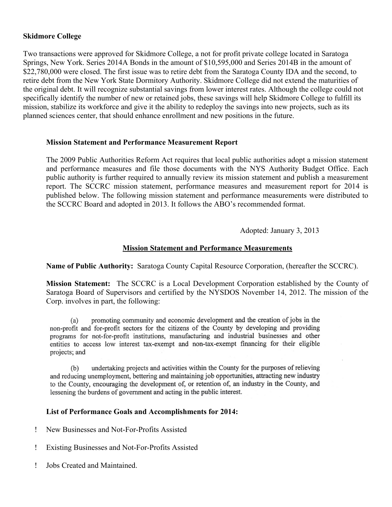## **Skidmore College**

Two transactions were approved for Skidmore College, a not for profit private college located in Saratoga Springs, New York. Series 2014A Bonds in the amount of \$10,595,000 and Series 2014B in the amount of \$22,780,000 were closed. The first issue was to retire debt from the Saratoga County IDA and the second, to retire debt from the New York State Dormitory Authority. Skidmore College did not extend the maturities of the original debt. It will recognize substantial savings from lower interest rates. Although the college could not specifically identify the number of new or retained jobs, these savings will help Skidmore College to fulfill its mission, stabilize its workforce and give it the ability to redeploy the savings into new projects, such as its planned sciences center, that should enhance enrollment and new positions in the future.

#### **Mission Statement and Performance Measurement Report**

The 2009 Public Authorities Reform Act requires that local public authorities adopt a mission statement and performance measures and file those documents with the NYS Authority Budget Office. Each public authority is further required to annually review its mission statement and publish a measurement report. The SCCRC mission statement, performance measures and measurement report for 2014 is published below. The following mission statement and performance measurements were distributed to the SCCRC Board and adopted in 2013. It follows the ABO's recommended format.

Adopted: January 3, 2013

## **Mission Statement and Performance Measurements**

**Name of Public Authority:** Saratoga County Capital Resource Corporation, (hereafter the SCCRC).

**Mission Statement:** The SCCRC is a Local Development Corporation established by the County of Saratoga Board of Supervisors and certified by the NYSDOS November 14, 2012. The mission of the Corp. involves in part, the following:

promoting community and economic development and the creation of jobs in the  $(a)$ non-profit and for-profit sectors for the citizens of the County by developing and providing programs for not-for-profit institutions, manufacturing and industrial businesses and other entities to access low interest tax-exempt and non-tax-exempt financing for their eligible projects; and

undertaking projects and activities within the County for the purposes of relieving  $(b)$ and reducing unemployment, bettering and maintaining job opportunities, attracting new industry to the County, encouraging the development of, or retention of, an industry in the County, and lessening the burdens of government and acting in the public interest.

#### **List of Performance Goals and Accomplishments for 2014:**

- New Businesses and Not-For-Profits Assisted
- Existing Businesses and Not-For-Profits Assisted
- Jobs Created and Maintained.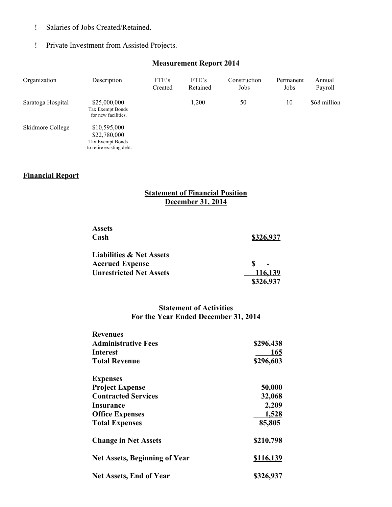- Salaries of Jobs Created/Retained.
- Private Investment from Assisted Projects.

## **Measurement Report 2014**

| Organization      | Description                                                                  | FTE's<br>Created | FTE's<br>Retained | Construction<br>Jobs | Permanent<br>Jobs | Annual<br>Payroll |
|-------------------|------------------------------------------------------------------------------|------------------|-------------------|----------------------|-------------------|-------------------|
| Saratoga Hospital | \$25,000,000<br>Tax Exempt Bonds<br>for new facilities.                      |                  | 1,200             | 50                   | 10                | \$68 million      |
| Skidmore College  | \$10,595,000<br>\$22,780,000<br>Tax Exempt Bonds<br>to retire existing debt. |                  |                   |                      |                   |                   |

# **Financial Report**

# **Statement of Financial Position December 31, 2014**

| <b>Assets</b>                       |           |
|-------------------------------------|-----------|
| Cash                                | \$326,937 |
| <b>Liabilities &amp; Net Assets</b> |           |
| <b>Accrued Expense</b>              |           |
| <b>Unrestricted Net Assets</b>      | 116,139   |
|                                     | \$326,937 |

#### **Statement of Activities For the Year Ended December 31, 2014**

| <b>Revenues</b>                      |                  |  |  |
|--------------------------------------|------------------|--|--|
| <b>Administrative Fees</b>           | \$296,438        |  |  |
| Interest                             | 165              |  |  |
| <b>Total Revenue</b>                 | \$296,603        |  |  |
| <b>Expenses</b>                      |                  |  |  |
| <b>Project Expense</b>               | 50,000           |  |  |
| <b>Contracted Services</b>           | 32,068           |  |  |
| Insurance                            | 2,209            |  |  |
| <b>Office Expenses</b>               | <u>1,528</u>     |  |  |
| <b>Total Expenses</b>                | 85,805           |  |  |
| <b>Change in Net Assets</b>          | \$210,798        |  |  |
| <b>Net Assets, Beginning of Year</b> | <u>\$116,139</u> |  |  |
| <b>Net Assets, End of Year</b>       | \$326,937        |  |  |